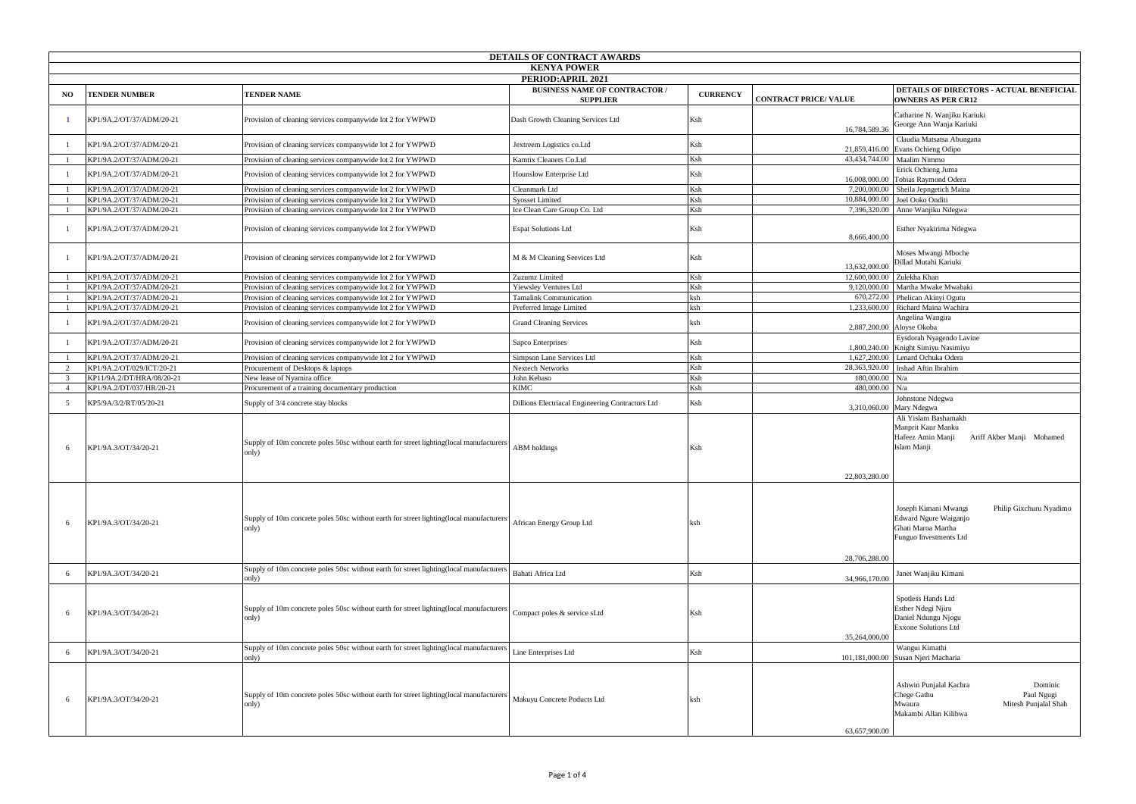| DETAILS OF CONTRACT AWARDS |                           |                                                                                                                                                                                             |                                                         |                 |                             |                                                                                                                                                                  |  |
|----------------------------|---------------------------|---------------------------------------------------------------------------------------------------------------------------------------------------------------------------------------------|---------------------------------------------------------|-----------------|-----------------------------|------------------------------------------------------------------------------------------------------------------------------------------------------------------|--|
| <b>KENYA POWER</b>         |                           |                                                                                                                                                                                             |                                                         |                 |                             |                                                                                                                                                                  |  |
| PERIOD:APRIL 2021          |                           |                                                                                                                                                                                             |                                                         |                 |                             |                                                                                                                                                                  |  |
| NO.                        | <b>TENDER NUMBER</b>      | <b>TENDER NAME</b>                                                                                                                                                                          | <b>BUSINESS NAME OF CONTRACTOR /</b><br><b>SUPPLIER</b> | <b>CURRENCY</b> | <b>CONTRACT PRICE/VALUE</b> | <b>DETAILS OF DIRECTORS - ACTUAL BENEFICIAL</b><br><b>OWNERS AS PER CR12</b>                                                                                     |  |
|                            | KP1/9A.2/OT/37/ADM/20-21  | Provision of cleaning services companywide lot 2 for YWPWD                                                                                                                                  | Dash Growth Cleaning Services Ltd                       | Ksh             | 16,784,589.36               | Catharine N. Wanjiku Kariuki<br>George Ann Wanja Kariuki                                                                                                         |  |
|                            | KP1/9A.2/OT/37/ADM/20-21  | Provision of cleaning services companywide lot 2 for YWPWD                                                                                                                                  | Jextreem Logistics co.Ltd                               | Ksh             | 21,859,416.00               | Claudia Matsatsa Abungana<br>Evans Ochieng Odipo                                                                                                                 |  |
|                            | KP1/9A.2/OT/37/ADM/20-21  | Provision of cleaning services companywide lot 2 for YWPWD                                                                                                                                  | Kamtix Cleaners Co.Ltd                                  | Ksh             |                             | 43,434,744.00 Maalim Nimmo                                                                                                                                       |  |
|                            | KP1/9A.2/OT/37/ADM/20-21  | Provision of cleaning services companywide lot 2 for YWPWD                                                                                                                                  | Hounslow Enterprise Ltd                                 | Ksh             | 16,008,000.00               | Erick Ochieng Juma<br>Tobias Raymond Odera                                                                                                                       |  |
|                            | KP1/9A.2/OT/37/ADM/20-21  | Provision of cleaning services companywide lot 2 for YWPWD                                                                                                                                  | Cleanmark Ltd                                           | Ksh             | 7,200,000.00                | Sheila Jepngetich Maina                                                                                                                                          |  |
|                            | KP1/9A.2/OT/37/ADM/20-21  | Provision of cleaning services companywide lot 2 for YWPWD                                                                                                                                  | <b>Syosset Limited</b>                                  | Ksh             | 10,884,000.00               | Joel Ooko Onditi                                                                                                                                                 |  |
|                            | KP1/9A.2/OT/37/ADM/20-21  | Provision of cleaning services companywide lot 2 for YWPWD                                                                                                                                  | Ice Clean Care Group Co. Ltd                            | Ksh             | 7,396,320.00                | Anne Wanjiku Ndegwa                                                                                                                                              |  |
|                            | KP1/9A.2/OT/37/ADM/20-21  | Provision of cleaning services companywide lot 2 for YWPWD                                                                                                                                  | <b>Espat Solutions Ltd</b>                              | Ksh             | 8,666,400.00                | Esther Nyakirima Ndegwa                                                                                                                                          |  |
|                            | KP1/9A.2/OT/37/ADM/20-21  | Provision of cleaning services companywide lot 2 for YWPWD                                                                                                                                  | M & M Cleaning Seevices Ltd                             | Ksh             | 13,632,000.00               | Moses Mwangi Mboche<br>Dillad Mutahi Kariuki                                                                                                                     |  |
|                            | KP1/9A.2/OT/37/ADM/20-21  | Provision of cleaning services companywide lot 2 for YWPWD                                                                                                                                  | Zuzumz Limited                                          | Ksh             | 12,600,000.00 Zulekha Khan  |                                                                                                                                                                  |  |
|                            | KP1/9A.2/OT/37/ADM/20-21  | Provision of cleaning services companywide lot 2 for YWPWD                                                                                                                                  | Yiewsley Ventures Ltd                                   | Ksh             | 9,120,000.00                | Martha Mwake Mwabaki                                                                                                                                             |  |
|                            | KP1/9A.2/OT/37/ADM/20-21  | Provision of cleaning services companywide lot 2 for YWPWD                                                                                                                                  | <b>Tamalink Communication</b>                           | ksh             | 670,272.00                  | Phelican Akinyi Ogutu                                                                                                                                            |  |
|                            | KP1/9A.2/OT/37/ADM/20-21  | Provision of cleaning services companywide lot 2 for YWPWD                                                                                                                                  | Preferred Image Limited                                 | ksh             | 1,233,600.00                | Richard Maina Wachira                                                                                                                                            |  |
|                            | KP1/9A.2/OT/37/ADM/20-21  | Provision of cleaning services companywide lot 2 for YWPWD                                                                                                                                  | <b>Grand Cleaning Services</b>                          | ksh             | 2,887,200.00                | Angelina Wangira<br>Aloyse Okoba                                                                                                                                 |  |
|                            | KP1/9A.2/OT/37/ADM/20-21  | Provision of cleaning services companywide lot 2 for YWPWD                                                                                                                                  | Sapco Enterprises                                       | Ksh             | 1,800,240.00                | Eysdorah Nyagendo Lavine<br>Knight Simiyu Nasimiyu                                                                                                               |  |
|                            | KP1/9A.2/OT/37/ADM/20-21  | Provision of cleaning services companywide lot 2 for YWPWD                                                                                                                                  | Simpson Lane Services Ltd                               | Ksh             | 1,627,200.00                | Lenard Ochuka Odera                                                                                                                                              |  |
| 2                          | KP1/9A.2/OT/029/ICT/20-21 | Procurement of Desktops & laptops                                                                                                                                                           | Nextech Networks                                        | Ksh             | 28,363,920.00               | Irshad Aftin Ibrahim                                                                                                                                             |  |
| -3                         | KP11/9A.2/DT/HRA/08/20-21 | New lease of Nyamira office                                                                                                                                                                 | John Kebaso                                             | Ksh             | 180,000.00                  | N/a                                                                                                                                                              |  |
| $\overline{4}$             | KP1/9A.2/DT/037/HR/20-21  | Procurement of a training documentary production                                                                                                                                            | <b>KIMC</b>                                             | Ksh             | 480,000.00                  | N/a                                                                                                                                                              |  |
| -5                         | KP5/9A/3/2/RT/05/20-21    | Supply of 3/4 concrete stay blocks                                                                                                                                                          | Dillions Electriacal Engineering Contractors Ltd        | Ksh             | 3,310,060.00                | Johnstone Ndegwa<br>Mary Ndegwa                                                                                                                                  |  |
|                            | KP1/9A.3/OT/34/20-21      | Supply of 10m concrete poles 50sc without earth for street lighting(local manufacturers<br>only)                                                                                            | <b>ABM</b> holdings                                     | Ksh             | 22,803,280.00               | Ali Yislam Bashamakh<br>Manprit Kaur Manku<br>Hafeez Amin Manji<br>Ariff Akber Manji Mohamed<br>Islam Manji                                                      |  |
| -6                         | KP1/9A.3/OT/34/20-21      | Supply of 10m concrete poles 50sc without earth for street lighting(local manufacturers<br>only)<br>Supply of 10m concrete poles 50sc without earth for street lighting(local manufacturers | African Energy Group Ltd                                | ksh             | 28,706,288.00               | Philip Gixchuru Nyadimo<br>Joseph Kimani Mwangi<br>Edward Ngure Waiganjo<br>Ghati Maroa Martha<br>Funguo Investments Ltd                                         |  |
| -6                         | KP1/9A.3/OT/34/20-21      | only)                                                                                                                                                                                       | Bahati Africa Ltd                                       | Ksh             | 34,966,170.00               | Janet Wanjiku Kimani                                                                                                                                             |  |
| -6                         | KP1/9A.3/OT/34/20-21      | Supply of 10m concrete poles 50sc without earth for street lighting (local manufacturers<br>only)                                                                                           | Compact poles & service sLtd                            | Ksh             | 35,264,000.00               | Spotless Hands Ltd<br>Esther Ndegi Njiru<br>Daniel Ndungu Njogu<br>Exxone Solutions Ltd                                                                          |  |
| -6                         | KP1/9A.3/OT/34/20-21      | Supply of 10m concrete poles 50sc without earth for street lighting(local manufacturers                                                                                                     | Line Enterprises Ltd                                    | Ksh             |                             | Wangui Kimathi                                                                                                                                                   |  |
| -6                         | KP1/9A.3/OT/34/20-21      | only)<br>Supply of 10m concrete poles 50sc without earth for street lighting(local manufacturers<br>only)                                                                                   | Makuyu Concrete Poducts Ltd                             | ksh             | 63,657,900.00               | 101,181,000.00 Susan Njeri Macharia<br>Dominic<br>Ashwin Punjalal Kachra<br>Paul Ngugi<br>Chege Gathu<br>Mitesh Punjalal Shah<br>Mwaura<br>Makambi Allan Kilibwa |  |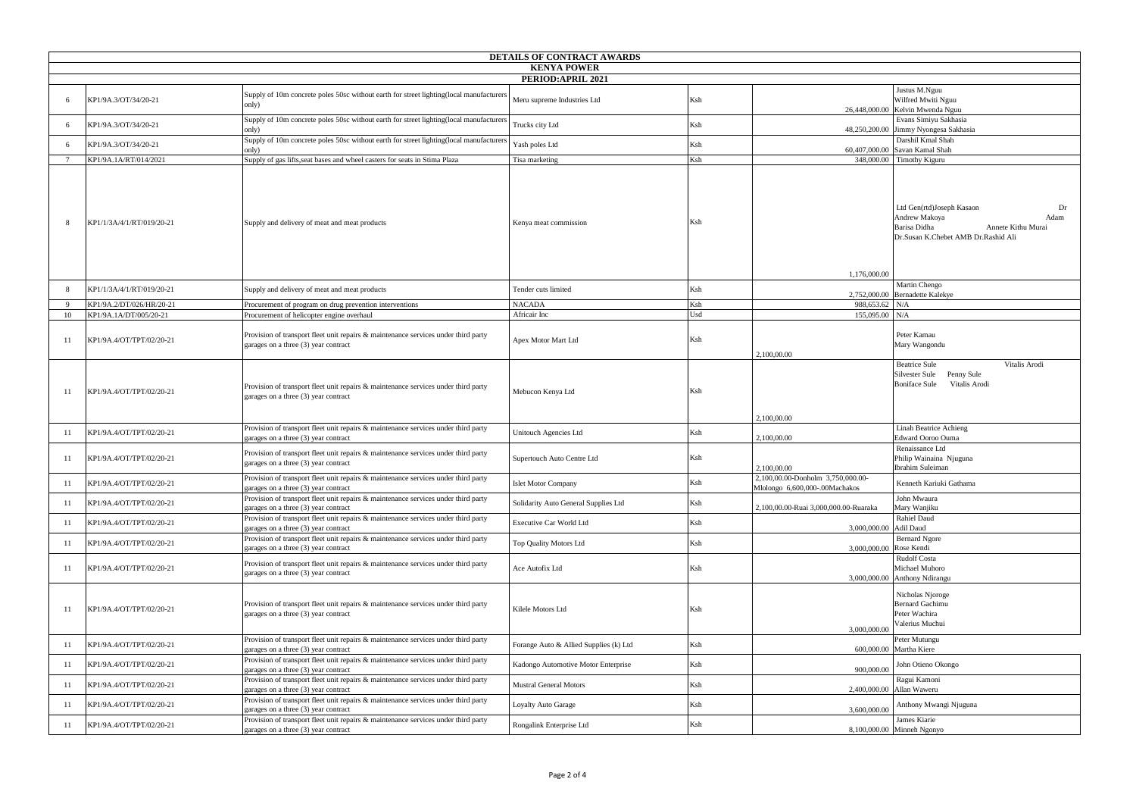|                                           | DETAILS OF CONTRACT AWARDS |                                                                                                                               |                                                                                                                   |     |                                                                                                                                       |  |  |
|-------------------------------------------|----------------------------|-------------------------------------------------------------------------------------------------------------------------------|-------------------------------------------------------------------------------------------------------------------|-----|---------------------------------------------------------------------------------------------------------------------------------------|--|--|
| <b>KENYA POWER</b>                        |                            |                                                                                                                               |                                                                                                                   |     |                                                                                                                                       |  |  |
| <b>PERIOD:APRIL 2021</b><br>Justus M.Nguu |                            |                                                                                                                               |                                                                                                                   |     |                                                                                                                                       |  |  |
| -6                                        | KP1/9A.3/OT/34/20-21       | Supply of 10m concrete poles 50sc without earth for street lighting(local manufacturers<br>only)                              | Meru supreme Industries Ltd                                                                                       | Ksh | Wilfred Mwiti Nguu<br>26,448,000.00 Kelvin Mwenda Nguu                                                                                |  |  |
|                                           | KP1/9A.3/OT/34/20-21       | only)                                                                                                                         | Supply of 10m concrete poles 50sc without earth for street lighting(local manufacturers<br>Trucks city Ltd<br>Ksh |     | Evans Simiyu Sakhasia<br>48,250,200.00 Jimmy Nyongesa Sakhasia                                                                        |  |  |
|                                           | KP1/9A.3/OT/34/20-21       | only)                                                                                                                         | Supply of 10m concrete poles 50sc without earth for street lighting(local manufacturers<br>Yash poles Ltd<br>Ksh  |     | Darshil Kmal Shah<br>60,407,000.00 Savan Kamal Shah                                                                                   |  |  |
|                                           | KP1/9A.1A/RT/014/2021      | Supply of gas lifts, seat bases and wheel casters for seats in Stima Plaza                                                    | Tisa marketing                                                                                                    | Ksh | 348,000.00 Timothy Kiguru                                                                                                             |  |  |
| -8                                        | KP1/1/3A/4/1/RT/019/20-21  | Supply and delivery of meat and meat products                                                                                 | Kenya meat commission                                                                                             | Ksh | Ltd Gen(rtd)Joseph Kasaon<br>Dr<br>Andrew Makoya<br>Adam<br>Barisa Didha<br>Annete Kithu Murai<br>Dr.Susan K.Chebet AMB Dr.Rashid Ali |  |  |
|                                           | KP1/1/3A/4/1/RT/019/20-21  | Supply and delivery of meat and meat products                                                                                 | Tender cuts limited                                                                                               | Ksh | 1,176,000.00<br>Martin Chengo                                                                                                         |  |  |
|                                           | KP1/9A.2/DT/026/HR/20-21   | Procurement of program on drug prevention interventions                                                                       | <b>NACADA</b>                                                                                                     | Ksh | 2,752,000.00 Bernadette Kalekye<br>988,653.62 N/A                                                                                     |  |  |
| -10                                       | KP1/9A.1A/DT/005/20-21     | Procurement of helicopter engine overhaul                                                                                     | Africair Inc                                                                                                      | Usd | 155,095.00 N/A                                                                                                                        |  |  |
| -11                                       | KP1/9A.4/OT/TPT/02/20-21   | Provision of transport fleet unit repairs & maintenance services under third party<br>garages on a three (3) year contract    | Apex Motor Mart Ltd                                                                                               | Ksh | Peter Kamau<br>Mary Wangondu<br>2,100,00.00                                                                                           |  |  |
| -11                                       | KP1/9A.4/OT/TPT/02/20-21   | Provision of transport fleet unit repairs & maintenance services under third party<br>garages on a three (3) year contract    | Mebucon Kenya Ltd                                                                                                 | Ksh | <b>Beatrice Sule</b><br>Vitalis Arodi<br>Silvester Sule<br>Penny Sule<br><b>Boniface Sule</b><br>Vitalis Arodi<br>2,100,00.00         |  |  |
| -11                                       | KP1/9A.4/OT/TPT/02/20-21   | Provision of transport fleet unit repairs & maintenance services under third party<br>garages on a three (3) year contract    | Unitouch Agencies Ltd                                                                                             | Ksh | Linah Beatrice Achieng<br><b>Edward Ooroo Ouma</b><br>2,100,00.00                                                                     |  |  |
| -11                                       | KP1/9A.4/OT/TPT/02/20-21   | Provision of transport fleet unit repairs $\&$ maintenance services under third party<br>garages on a three (3) year contract | Supertouch Auto Centre Ltd                                                                                        | Ksh | Renaissance Ltd<br>Philip Wainaina Njuguna<br>Ibrahim Suleiman<br>2,100,00.00                                                         |  |  |
| 11                                        | KP1/9A.4/OT/TPT/02/20-21   | Provision of transport fleet unit repairs $\&$ maintenance services under third party<br>garages on a three (3) year contract | Islet Motor Company                                                                                               | Ksh | 2,100,00.00-Donholm 3,750,000.00-<br>Kenneth Kariuki Gathama<br>Mlolongo 6,600,000-.00Machakos                                        |  |  |
| -11                                       | KP1/9A.4/OT/TPT/02/20-21   | Provision of transport fleet unit repairs $\&$ maintenance services under third party<br>garages on a three (3) year contract | Solidarity Auto General Supplies Ltd                                                                              | Ksh | John Mwaura<br>Mary Wanjiku<br>2,100,00.00-Ruai 3,000,000.00-Ruaraka                                                                  |  |  |
| -11                                       | KP1/9A.4/OT/TPT/02/20-21   | Provision of transport fleet unit repairs & maintenance services under third party<br>garages on a three (3) year contract    | Executive Car World Ltd                                                                                           | Ksh | Rahiel Daud<br>3,000,000.00 Adil Daud                                                                                                 |  |  |
| -11                                       | KP1/9A.4/OT/TPT/02/20-21   | Provision of transport fleet unit repairs & maintenance services under third party<br>garages on a three (3) year contract    | Top Quality Motors Ltd                                                                                            | Ksh | <b>Bernard Ngore</b><br>3,000,000.00 Rose Kendi                                                                                       |  |  |
| -11                                       | KP1/9A.4/OT/TPT/02/20-21   | Provision of transport fleet unit repairs $\&$ maintenance services under third party<br>garages on a three (3) year contract | Ace Autofix Ltd                                                                                                   | Ksh | <b>Rudolf Costa</b><br>Michael Muhoro<br>3,000,000.00 Anthony Ndirangu                                                                |  |  |
| 11                                        | KP1/9A.4/OT/TPT/02/20-21   | Provision of transport fleet unit repairs & maintenance services under third party<br>garages on a three (3) year contract    | Kilele Motors Ltd                                                                                                 | Ksh | Nicholas Njoroge<br><b>Bernard Gachimu</b><br>Peter Wachira<br>Valerius Muchui<br>3,000,000.00                                        |  |  |
| 11                                        | KP1/9A.4/OT/TPT/02/20-21   | Provision of transport fleet unit repairs & maintenance services under third party<br>garages on a three (3) year contract    | Forange Auto & Allied Supplies (k) Ltd                                                                            | Ksh | Peter Mutungu<br>600,000.00 Martha Kiere                                                                                              |  |  |
| 11                                        | KP1/9A.4/OT/TPT/02/20-21   | Provision of transport fleet unit repairs & maintenance services under third party<br>garages on a three (3) year contract    | Kadongo Automotive Motor Enterprise                                                                               | Ksh | John Otieno Okongo<br>900,000.00                                                                                                      |  |  |
| -11                                       | KP1/9A.4/OT/TPT/02/20-21   | Provision of transport fleet unit repairs & maintenance services under third party<br>garages on a three (3) year contract    | <b>Mustral General Motors</b>                                                                                     | Ksh | Ragui Kamoni<br>2,400,000.00 Allan Waweru                                                                                             |  |  |
| -11                                       | KP1/9A.4/OT/TPT/02/20-21   | Provision of transport fleet unit repairs & maintenance services under third party<br>garages on a three (3) year contract    | Loyalty Auto Garage                                                                                               | Ksh | Anthony Mwangi Njuguna<br>3,600,000.00                                                                                                |  |  |
| -11                                       | KP1/9A.4/OT/TPT/02/20-21   | Provision of transport fleet unit repairs & maintenance services under third party<br>garages on a three (3) year contract    | Rongalink Enterprise Ltd                                                                                          | Ksh | James Kiarie<br>8,100,000.00 Minneh Ngonyo                                                                                            |  |  |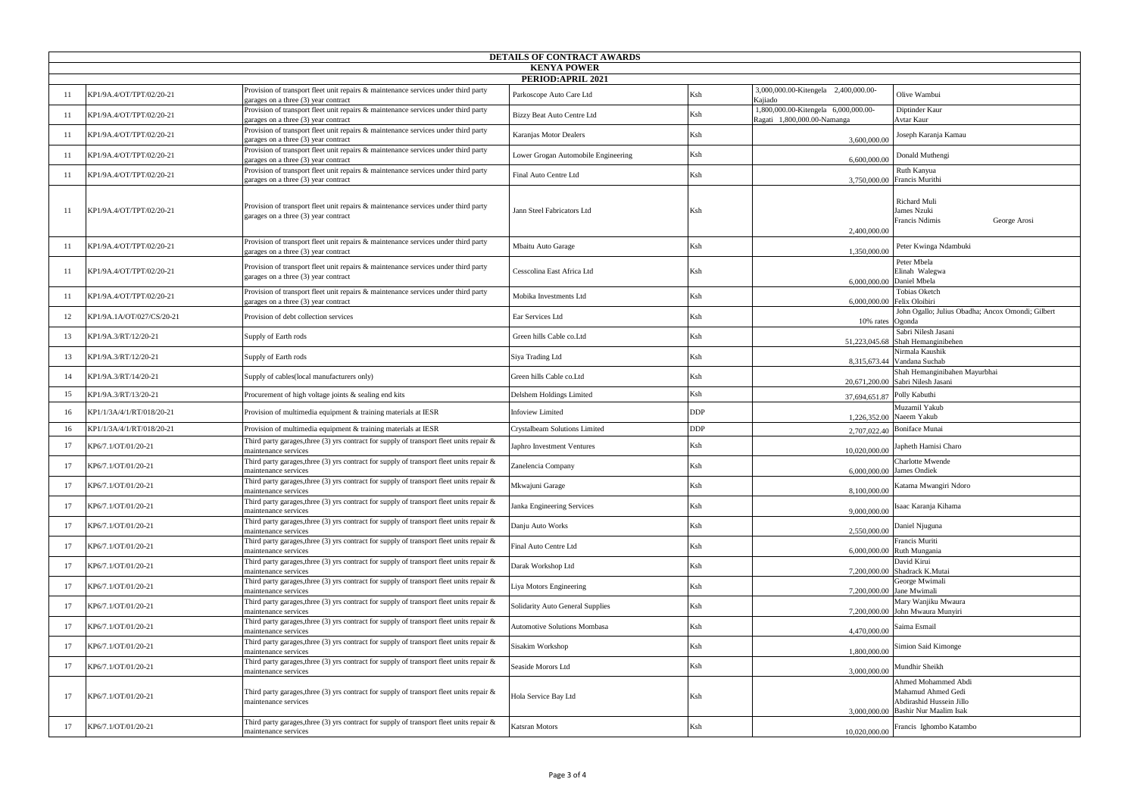|                    | DETAILS OF CONTRACT AWARDS |                                                                                                                               |                                     |            |                                                                     |                                                                                                              |  |  |
|--------------------|----------------------------|-------------------------------------------------------------------------------------------------------------------------------|-------------------------------------|------------|---------------------------------------------------------------------|--------------------------------------------------------------------------------------------------------------|--|--|
| <b>KENYA POWER</b> |                            |                                                                                                                               |                                     |            |                                                                     |                                                                                                              |  |  |
| PERIOD:APRIL 2021  |                            |                                                                                                                               |                                     |            |                                                                     |                                                                                                              |  |  |
|                    | KP1/9A.4/OT/TPT/02/20-21   | Provision of transport fleet unit repairs & maintenance services under third party<br>garages on a three (3) year contract    | Parkoscope Auto Care Ltd            | Ksh        | 3,000,000.00-Kitengela 2,400,000.00<br>Kajiado                      | Olive Wambui                                                                                                 |  |  |
| -11                | KP1/9A.4/OT/TPT/02/20-21   | Provision of transport fleet unit repairs $\&$ maintenance services under third party<br>garages on a three (3) year contract | Bizzy Beat Auto Centre Ltd          | Ksh        | 1,800,000.00-Kitengela 6,000,000.00-<br>Ragati 1,800,000.00-Namanga | Diptinder Kaur<br>Avtar Kaur                                                                                 |  |  |
| -11                | KP1/9A.4/OT/TPT/02/20-21   | Provision of transport fleet unit repairs & maintenance services under third party<br>garages on a three (3) year contract    | Karanjas Motor Dealers              | Ksh        | 3,600,000.00                                                        | Joseph Karanja Kamau                                                                                         |  |  |
|                    | KP1/9A.4/OT/TPT/02/20-21   | Provision of transport fleet unit repairs & maintenance services under third party<br>garages on a three (3) year contract    | Lower Grogan Automobile Engineering | Ksh        | 6.600,000.00                                                        | Donald Muthengi                                                                                              |  |  |
| -11                | KP1/9A.4/OT/TPT/02/20-21   | Provision of transport fleet unit repairs & maintenance services under third party<br>garages on a three (3) year contract    | Final Auto Centre Ltd               | Ksh        |                                                                     | Ruth Kanyua<br>3,750,000.00 Francis Murithi                                                                  |  |  |
| 11                 | KP1/9A.4/OT/TPT/02/20-21   | Provision of transport fleet unit repairs & maintenance services under third party<br>garages on a three (3) year contract    | Jann Steel Fabricators Ltd          | Ksh        | 2,400,000.00                                                        | <b>Richard Muli</b><br>James Nzuki<br>Francis Ndimis<br>George Arosi                                         |  |  |
|                    | KP1/9A.4/OT/TPT/02/20-21   | Provision of transport fleet unit repairs & maintenance services under third party<br>garages on a three (3) year contract    | Mbaitu Auto Garage                  | Ksh        | 1,350,000.00                                                        | Peter Kwinga Ndambuki                                                                                        |  |  |
| -11                | KP1/9A.4/OT/TPT/02/20-21   | Provision of transport fleet unit repairs & maintenance services under third party<br>garages on a three (3) year contract    | Cesscolina East Africa Ltd          | Ksh        |                                                                     | Peter Mbela<br>Elinah Walegwa<br>6,000,000.00 Daniel Mbela                                                   |  |  |
| -11                | KP1/9A.4/OT/TPT/02/20-21   | Provision of transport fleet unit repairs & maintenance services under third party<br>garages on a three (3) year contract    | Mobika Investments Ltd              | Ksh        |                                                                     | <b>Tobias Oketch</b><br>6.000.000.00 Felix Oloibiri                                                          |  |  |
| 12                 | KP1/9A.1A/OT/027/CS/20-21  | Provision of debt collection services                                                                                         | Ear Services Ltd                    | Ksh        | 10% rates Ogonda                                                    | John Ogallo; Julius Obadha; Ancox Omondi; Gilbert                                                            |  |  |
| 13                 | KP1/9A.3/RT/12/20-21       | Supply of Earth rods                                                                                                          | Green hills Cable co.Ltd            | Ksh        |                                                                     | Sabri Nilesh Jasani<br>51,223,045.68 Shah Hemanginibehen                                                     |  |  |
| 13                 | KP1/9A.3/RT/12/20-21       | Supply of Earth rods                                                                                                          | Siya Trading Ltd                    | Ksh        |                                                                     | Nirmala Kaushik<br>8,315,673.44 Vandana Suchab                                                               |  |  |
| 14                 | KP1/9A.3/RT/14/20-21       | Supply of cables (local manufacturers only)                                                                                   | Green hills Cable co.Ltd            | Ksh        |                                                                     | Shah Hemanginibahen Mayurbhai<br>20,671,200.00 Sabri Nilesh Jasani                                           |  |  |
| 15                 | KP1/9A.3/RT/13/20-21       | Procurement of high voltage joints & sealing end kits                                                                         | Delshem Holdings Limited            | Ksh        | 37,694,651.87 Polly Kabuthi                                         |                                                                                                              |  |  |
| 16                 | KP1/1/3A/4/1/RT/018/20-21  | Provision of multimedia equipment & training materials at IESR                                                                | <b>Infoview Limited</b>             | <b>DDP</b> |                                                                     | Muzamil Yakub<br>1,226,352.00 Naeem Yakub                                                                    |  |  |
| 16                 | KP1/1/3A/4/1/RT/018/20-21  | Provision of multimedia equipment & training materials at IESR                                                                | Crystalbeam Solutions Limited       | <b>DDP</b> |                                                                     | 2,707,022.40 Boniface Munai                                                                                  |  |  |
| 17                 | KP6/7.1/OT/01/20-21        | Third party garages, three (3) yrs contract for supply of transport fleet units repair &<br>maintenance services              | Japhro Investment Ventures          | Ksh        | 10.020.000.00                                                       | Japheth Hamisi Charo                                                                                         |  |  |
| 17                 | KP6/7.1/OT/01/20-21        | Third party garages, three (3) yrs contract for supply of transport fleet units repair $\&$<br>maintenance services           | Zanelencia Company                  | Ksh        |                                                                     | <b>Charlotte Mwende</b><br>6,000,000.00 James Ondiek                                                         |  |  |
|                    | KP6/7.1/OT/01/20-21        | Third party garages, three (3) yrs contract for supply of transport fleet units repair &<br>maintenance services              | Mkwajuni Garage                     | Ksh        | 8.100.000.00                                                        | Katama Mwangiri Ndoro                                                                                        |  |  |
| 17                 | KP6/7.1/OT/01/20-21        | Third party garages, three (3) yrs contract for supply of transport fleet units repair &<br>maintenance services              | Janka Engineering Services          | Ksh        | 9,000,000.00                                                        | Isaac Karanja Kihama                                                                                         |  |  |
| 17                 | KP6/7.1/OT/01/20-21        | Third party garages, three (3) yrs contract for supply of transport fleet units repair $\&$<br>maintenance services           | Danju Auto Works                    | Ksh        | 2,550,000.00                                                        | Daniel Njuguna                                                                                               |  |  |
| 17                 | KP6/7.1/OT/01/20-21        | Third party garages, three (3) yrs contract for supply of transport fleet units repair $\&$<br>maintenance services           | Final Auto Centre Ltd               | Ksh        |                                                                     | Francis Muriti<br>6,000,000.00 Ruth Mungania                                                                 |  |  |
| 17                 | KP6/7.1/OT/01/20-21        | Third party garages, three (3) yrs contract for supply of transport fleet units repair &<br>maintenance services              | Darak Workshop Ltd                  | Ksh        |                                                                     | David Kirui<br>7,200,000.00 Shadrack K.Mutai                                                                 |  |  |
| 17                 | KP6/7.1/OT/01/20-21        | Third party garages, three (3) yrs contract for supply of transport fleet units repair $\&$<br>maintenance services           | Liya Motors Engineering             | Ksh        |                                                                     | George Mwimali<br>7,200,000.00 Jane Mwimali                                                                  |  |  |
| 17                 | KP6/7.1/OT/01/20-21        | Third party garages, three (3) yrs contract for supply of transport fleet units repair $\&$<br>maintenance services           | Solidarity Auto General Supplies    | Ksh        |                                                                     | Mary Wanjiku Mwaura<br>7,200,000.00 John Mwaura Munyiri                                                      |  |  |
| 17                 | KP6/7.1/OT/01/20-21        | Third party garages, three (3) yrs contract for supply of transport fleet units repair $\&$<br>maintenance services           | Automotive Solutions Mombasa        | Ksh        | 4,470,000.00                                                        | Saima Esmail                                                                                                 |  |  |
| 17                 | KP6/7.1/OT/01/20-21        | Third party garages, three (3) yrs contract for supply of transport fleet units repair &<br>maintenance services              | Sisakim Workshop                    | Ksh        | 1,800,000.00                                                        | Simion Said Kimonge                                                                                          |  |  |
| 17                 | KP6/7.1/OT/01/20-21        | Third party garages, three (3) yrs contract for supply of transport fleet units repair &<br>maintenance services              | Seaside Morors Ltd                  | Ksh        | 3,000,000.00                                                        | Mundhir Sheikh                                                                                               |  |  |
| -17                | KP6/7.1/OT/01/20-21        | Third party garages, three $(3)$ yrs contract for supply of transport fleet units repair $\&$<br>maintenance services         | Hola Service Bay Ltd                | Ksh        |                                                                     | Ahmed Mohammed Abdi<br>Mahamud Ahmed Gedi<br>Abdirashid Hussein Jillo<br>3,000,000.00 Bashir Nur Maalim Isak |  |  |
| 17                 | KP6/7.1/OT/01/20-21        | Third party garages, three (3) yrs contract for supply of transport fleet units repair &<br>maintenance services              | Katsran Motors                      | Ksh        | 10,020,000.00                                                       | Francis Ighombo Katambo                                                                                      |  |  |